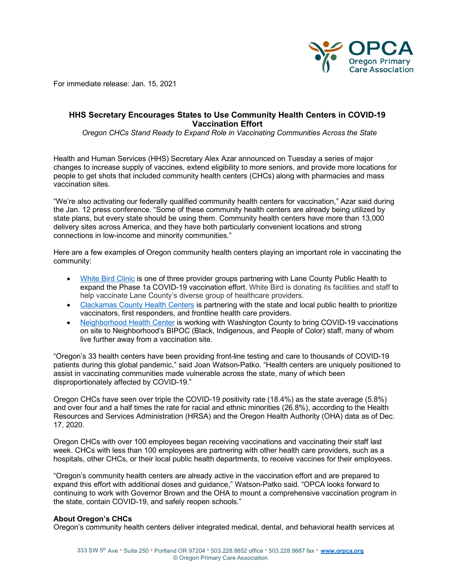

For immediate release: Jan. 15, 2021

## **HHS Secretary Encourages States to Use Community Health Centers in COVID-19 Vaccination Effort**

 *Oregon CHCs Stand Ready to Expand Role in Vaccinating Communities Across the State*

Health and Human Services (HHS) Secretary Alex Azar announced on Tuesday a series of major changes to increase supply of vaccines, extend eligibility to more seniors, and provide more locations for people to get shots that included community health centers (CHCs) along with pharmacies and mass vaccination sites.

"We're also activating our federally qualified community health centers for vaccination," Azar said during the Jan. 12 press conference. "Some of these community health centers are already being utilized by state plans, but every state should be using them. Community health centers have more than 13,000 delivery sites across America, and they have both particularly convenient locations and strong connections in low-income and minority communities."

Here are a few examples of Oregon community health centers playing an important role in vaccinating the community:

- [White Bird Clinic](https://whitebirdclinic.org/white-bird-clinic-partners-on-covid-19-vaccination-effort/) is one of three provider groups partnering with Lane County Public Health to expand the Phase 1a COVID-19 vaccination effort. White Bird is donating its facilities and staff to help vaccinate Lane County's diverse group of healthcare providers.
- [Clackamas County](https://www.clackamas.us/healthcenters) Health Centers is partnering with the state and local public health to prioritize vaccinators, first responders, and frontline health care providers.
- [Neighborhood Health Center](https://www.nhcoregon.org/) is working with Washington County to bring COVID-19 vaccinations on site to Neighborhood's BIPOC (Black, Indigenous, and People of Color) staff, many of whom live further away from a vaccination site.

"Oregon's 33 health centers have been providing front-line testing and care to thousands of COVID-19 patients during this global pandemic," said Joan Watson-Patko. "Health centers are uniquely positioned to assist in vaccinating communities made vulnerable across the state, many of which been disproportionately affected by COVID-19."

Oregon CHCs have seen over triple the COVID-19 positivity rate (18.4%) as the state average (5.8%) and over four and a half times the rate for racial and ethnic minorities (26.8%), according to the Health Resources and Services Administration (HRSA) and the Oregon Health Authority (OHA) data as of Dec. 17, 2020.

Oregon CHCs with over 100 employees began receiving vaccinations and vaccinating their staff last week. CHCs with less than 100 employees are partnering with other health care providers, such as a hospitals, other CHCs, or their local public health departments, to receive vaccines for their employees.

"Oregon's community health centers are already active in the vaccination effort and are prepared to expand this effort with additional doses and guidance," Watson-Patko said. "OPCA looks forward to continuing to work with Governor Brown and the OHA to mount a comprehensive vaccination program in the state, contain COVID-19, and safely reopen schools."

## **About Oregon's CHCs**

Oregon's community health centers deliver integrated medical, dental, and behavioral health services at